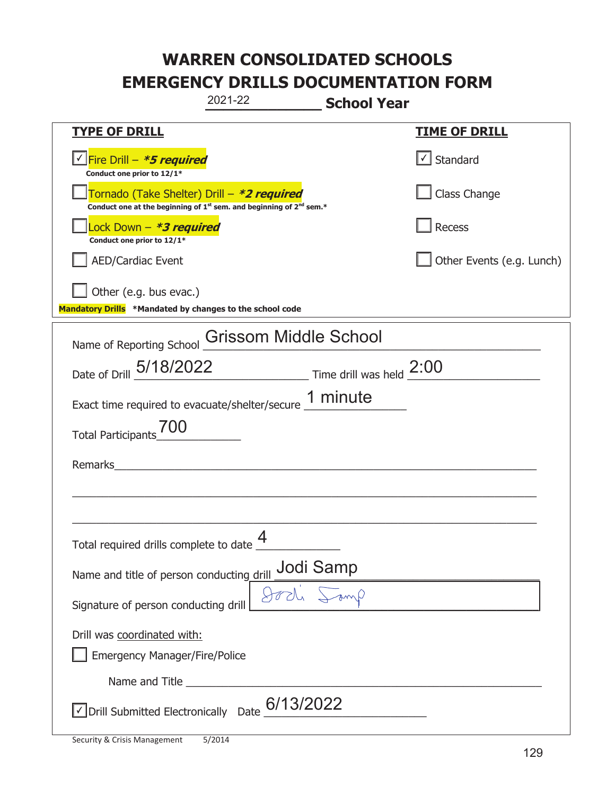|                                                                                    | 2021-22                                                                 | <b>School Year</b> |                           |
|------------------------------------------------------------------------------------|-------------------------------------------------------------------------|--------------------|---------------------------|
| <u>TYPE OF DRILL</u>                                                               |                                                                         |                    | <u>TIME OF DRILL</u>      |
| <u>√ Fire Drill – <i>*5 required</i></u><br>Conduct one prior to 12/1*             |                                                                         |                    | $\vert$ Standard          |
| Tornado (Take Shelter) Drill – *2 required                                         | Conduct one at the beginning of $1st$ sem. and beginning of $2nd$ sem.* |                    | Class Change              |
| ock Down - <b>*3 required</b><br>Conduct one prior to 12/1*                        |                                                                         |                    | Recess                    |
| <b>AED/Cardiac Event</b>                                                           |                                                                         |                    | Other Events (e.g. Lunch) |
| Other (e.g. bus evac.)<br>Mandatory Drills *Mandated by changes to the school code |                                                                         |                    |                           |
| Name of Reporting School                                                           | <b>Grissom Middle School</b>                                            |                    |                           |
| Date of Drill 5/18/2022 Time drill was held 2:00                                   |                                                                         |                    |                           |
| Exact time required to evacuate/shelter/secure 1 minute                            |                                                                         |                    |                           |
| <b>Total Participants</b>                                                          |                                                                         |                    |                           |
| Remarks                                                                            |                                                                         |                    |                           |
|                                                                                    |                                                                         |                    |                           |
| Total required drills complete to date                                             | 4                                                                       |                    |                           |
| Name and title of person conducting drill <b>Jodi Samp</b>                         |                                                                         |                    |                           |
| Signature of person conducting drill                                               |                                                                         |                    |                           |
| Drill was coordinated with:<br><b>Emergency Manager/Fire/Police</b>                |                                                                         |                    |                           |
|                                                                                    |                                                                         |                    |                           |
| √ Drill Submitted Electronically Date                                              | 6/13/2022                                                               |                    |                           |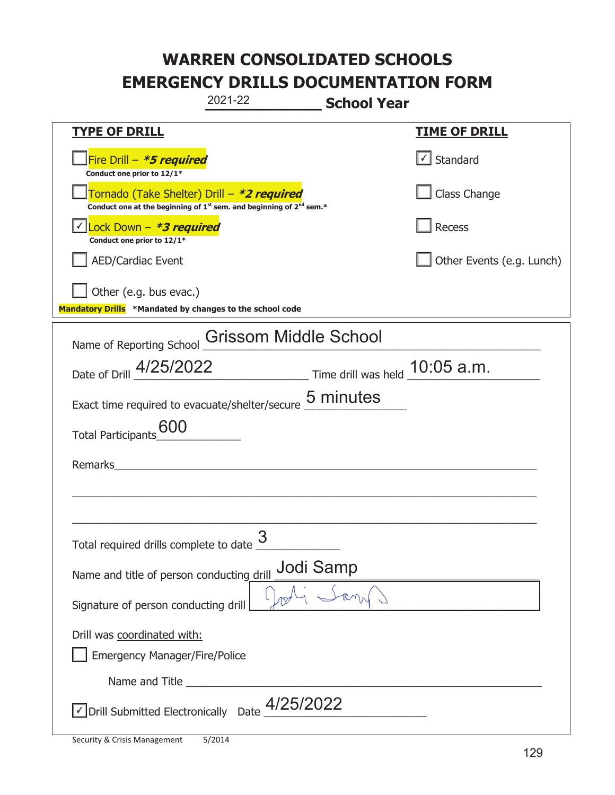|                                                                                    | 2021-22                                                                       | <b>School Year</b> |                           |
|------------------------------------------------------------------------------------|-------------------------------------------------------------------------------|--------------------|---------------------------|
| <b>TYPE OF DRILL</b>                                                               |                                                                               |                    | <b>TIME OF DRILL</b>      |
| Fire Drill – <i>*<b>5 required</b></i><br>Conduct one prior to 12/1*               |                                                                               |                    | √ Standard                |
| Tornado (Take Shelter) Drill – *2 required                                         | Conduct one at the beginning of $1^{st}$ sem. and beginning of $2^{nd}$ sem.* |                    | Class Change              |
| Lock Down - *3 required<br>Conduct one prior to 12/1*                              |                                                                               |                    | <b>Recess</b>             |
| AED/Cardiac Event                                                                  |                                                                               |                    | Other Events (e.g. Lunch) |
| Other (e.g. bus evac.)<br>Mandatory Drills *Mandated by changes to the school code |                                                                               |                    |                           |
| Name of Reporting School                                                           | Grissom Middle School                                                         |                    |                           |
| Date of Drill 4/25/2022                                                            | $\frac{10:05 \text{ a.m.}}{10:05 \text{ a.m.}}$                               |                    |                           |
|                                                                                    | Exact time required to evacuate/shelter/secure 5 minutes                      |                    |                           |
| <b>600</b><br><b>Total Participants</b>                                            |                                                                               |                    |                           |
| Remarks                                                                            |                                                                               |                    |                           |
|                                                                                    |                                                                               |                    |                           |
| Total required drills complete to date                                             | 3                                                                             |                    |                           |
| Name and title of person conducting drill                                          | Jodi Samp                                                                     |                    |                           |
| Signature of person conducting drill                                               |                                                                               |                    |                           |
| Drill was coordinated with:<br><b>Emergency Manager/Fire/Police</b>                |                                                                               |                    |                           |
|                                                                                    |                                                                               |                    |                           |
|                                                                                    | TDrill Submitted Electronically Date $\frac{4/25/2022}{\cdots}$               |                    |                           |

T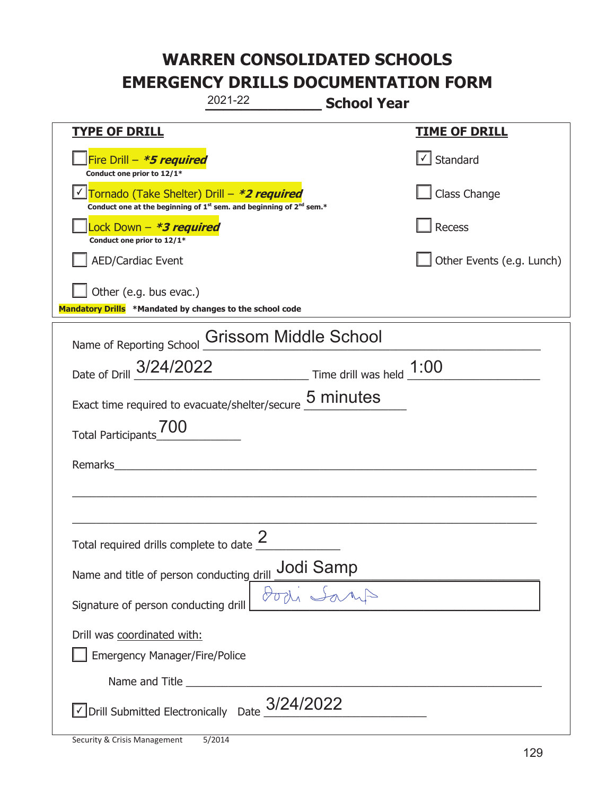|                                                                                                                                                                                                                                                                                                                                                                                                                                                                 | 2021-22                                                                                     | <b>School Year</b> |                           |
|-----------------------------------------------------------------------------------------------------------------------------------------------------------------------------------------------------------------------------------------------------------------------------------------------------------------------------------------------------------------------------------------------------------------------------------------------------------------|---------------------------------------------------------------------------------------------|--------------------|---------------------------|
| <b>TYPE OF DRILL</b>                                                                                                                                                                                                                                                                                                                                                                                                                                            |                                                                                             |                    | <u>TIME OF DRILL</u>      |
| Fire Drill – <i>*<b>5 required</b></i><br>Conduct one prior to 12/1*                                                                                                                                                                                                                                                                                                                                                                                            |                                                                                             |                    | $\vert$ Standard          |
| Tornado (Take Shelter) Drill – *2 required                                                                                                                                                                                                                                                                                                                                                                                                                      | Conduct one at the beginning of 1 <sup>st</sup> sem. and beginning of 2 <sup>nd</sup> sem.* |                    | Class Change              |
| Lock Down – <b>*<i>3 required</i></b><br>Conduct one prior to 12/1*                                                                                                                                                                                                                                                                                                                                                                                             |                                                                                             |                    | Recess                    |
| <b>AED/Cardiac Event</b>                                                                                                                                                                                                                                                                                                                                                                                                                                        |                                                                                             |                    | Other Events (e.g. Lunch) |
| Other (e.g. bus evac.)<br>Mandatory Drills *Mandated by changes to the school code                                                                                                                                                                                                                                                                                                                                                                              |                                                                                             |                    |                           |
| Name of Reporting School                                                                                                                                                                                                                                                                                                                                                                                                                                        | <b>Grissom Middle School</b>                                                                |                    |                           |
| Date of Drill 3/24/2022 Time drill was held 1:00                                                                                                                                                                                                                                                                                                                                                                                                                |                                                                                             |                    |                           |
| Exact time required to evacuate/shelter/secure 5 minutes                                                                                                                                                                                                                                                                                                                                                                                                        |                                                                                             |                    |                           |
| <b>Total Participants</b>                                                                                                                                                                                                                                                                                                                                                                                                                                       |                                                                                             |                    |                           |
| Remarks                                                                                                                                                                                                                                                                                                                                                                                                                                                         |                                                                                             |                    |                           |
|                                                                                                                                                                                                                                                                                                                                                                                                                                                                 |                                                                                             |                    |                           |
| Total required drills complete to date $\frac{2}{3}$                                                                                                                                                                                                                                                                                                                                                                                                            |                                                                                             |                    |                           |
| Name and title of person conducting drill $\frac{\text{Jodi Samp}}{\text{Grot} \land \text{Grot} \land \text{Grot} \land \text{Grot} \land \text{Grot} \land \text{Grot} \land \text{Grot} \land \text{Grot} \land \text{Grot} \land \text{Grot} \land \text{Grot} \land \text{Grot} \land \text{Grot} \land \text{Grot} \land \text{Grot} \land \text{Grot} \land \text{Grot} \land \text{Grot} \land \text{Grot} \land \text{Grot} \land \text{Grot} \land \$ |                                                                                             |                    |                           |
| Signature of person conducting drill                                                                                                                                                                                                                                                                                                                                                                                                                            |                                                                                             |                    |                           |
| Drill was coordinated with:<br><b>Emergency Manager/Fire/Police</b>                                                                                                                                                                                                                                                                                                                                                                                             |                                                                                             |                    |                           |
|                                                                                                                                                                                                                                                                                                                                                                                                                                                                 |                                                                                             |                    |                           |
| $\sqrt{\ }$ Drill Submitted Electronically Date $\frac{3/24/2022}{\ }$                                                                                                                                                                                                                                                                                                                                                                                          |                                                                                             |                    |                           |

t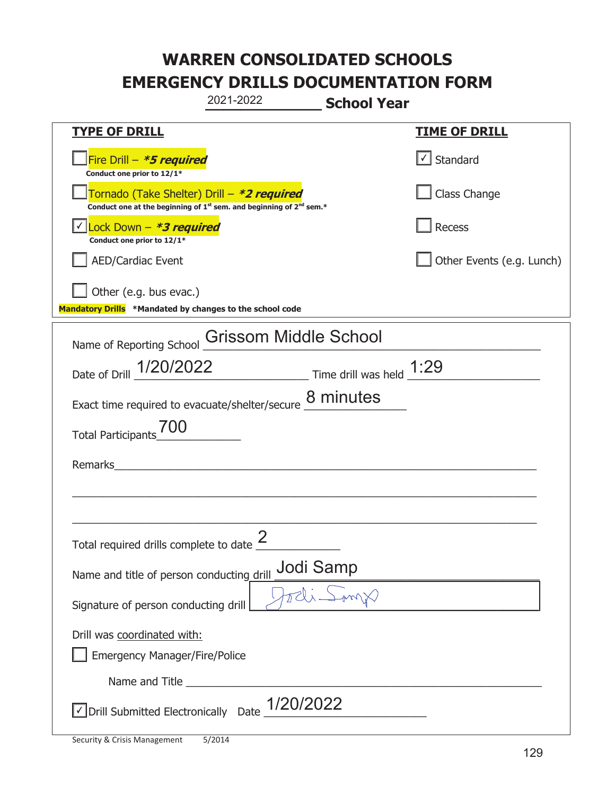|                                                                                            | 2021-2022<br><b>School Year</b>                                                             |                           |
|--------------------------------------------------------------------------------------------|---------------------------------------------------------------------------------------------|---------------------------|
| <b>TYPE OF DRILL</b>                                                                       |                                                                                             | <u>TIME OF DRILL</u>      |
| Fire Drill - *5 required<br>Conduct one prior to 12/1*                                     |                                                                                             | $\cup$ Standard           |
| Tornado (Take Shelter) Drill – *2 required                                                 | Conduct one at the beginning of 1 <sup>st</sup> sem. and beginning of 2 <sup>nd</sup> sem.* | Class Change              |
| <u> √ Lock Down – <b>*3 required</b></u><br>Conduct one prior to 12/1*                     |                                                                                             | Recess                    |
| <b>AED/Cardiac Event</b>                                                                   |                                                                                             | Other Events (e.g. Lunch) |
| $\vert$ Other (e.g. bus evac.)<br>Mandatory Drills *Mandated by changes to the school code |                                                                                             |                           |
| Name of Reporting School                                                                   | <b>Grissom Middle School</b>                                                                |                           |
|                                                                                            | Date of Drill 1/20/2022 Time drill was held 1:29                                            |                           |
|                                                                                            | Exact time required to evacuate/shelter/secure 8 minutes                                    |                           |
| Total Participants <sup>700</sup>                                                          |                                                                                             |                           |
| Remarks                                                                                    |                                                                                             |                           |
|                                                                                            |                                                                                             |                           |
|                                                                                            |                                                                                             |                           |
| Total required drills complete to date $\frac{2}{3}$                                       |                                                                                             |                           |
| Name and title of person conducting drill                                                  | Jodi Samp                                                                                   |                           |
| Signature of person conducting drill                                                       |                                                                                             |                           |
| Drill was coordinated with:                                                                |                                                                                             |                           |
| Emergency Manager/Fire/Police                                                              |                                                                                             |                           |
|                                                                                            |                                                                                             |                           |
| √ Drill Submitted Electronically Date                                                      | 1/20/2022                                                                                   |                           |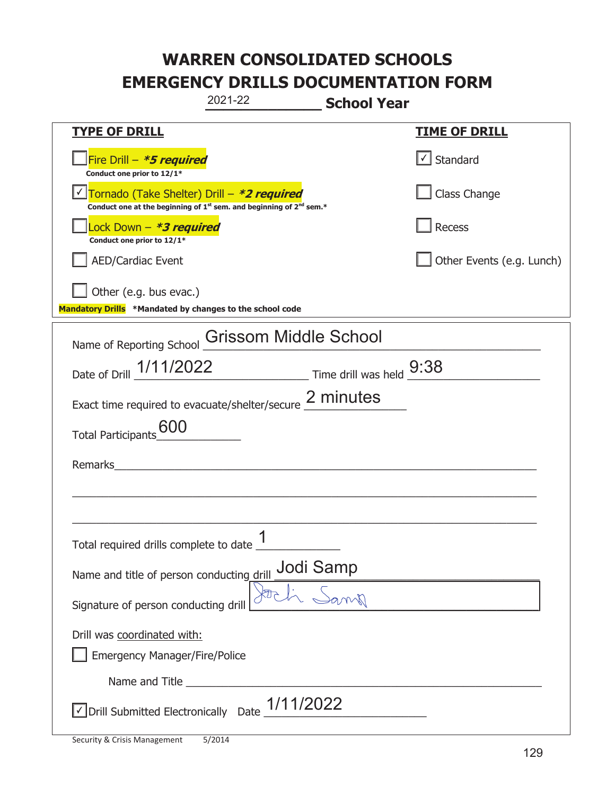|                                                                      | 2021-22                                                                                     | <b>School Year</b> |                           |
|----------------------------------------------------------------------|---------------------------------------------------------------------------------------------|--------------------|---------------------------|
| <b>TYPE OF DRILL</b>                                                 |                                                                                             |                    | <u>TIME OF DRILL</u>      |
| Fire Drill – <i>*<b>5 required</b></i><br>Conduct one prior to 12/1* |                                                                                             |                    | $\vert$ Standard          |
| Tornado (Take Shelter) Drill – *2 required                           | Conduct one at the beginning of 1 <sup>st</sup> sem. and beginning of 2 <sup>nd</sup> sem.* |                    | Class Change              |
| Lock Down – <b>*<i>3 required</i></b><br>Conduct one prior to 12/1*  |                                                                                             |                    | Recess                    |
| <b>AED/Cardiac Event</b>                                             |                                                                                             |                    | Other Events (e.g. Lunch) |
| Other (e.g. bus evac.)                                               |                                                                                             |                    |                           |
| Mandatory Drills *Mandated by changes to the school code             |                                                                                             |                    |                           |
| Name of Reporting School                                             | <b>Grissom Middle School</b>                                                                |                    |                           |
|                                                                      | Date of Drill 1/11/2022 Time drill was held 9:38                                            |                    |                           |
|                                                                      | Exact time required to evacuate/shelter/secure 2 minutes                                    |                    |                           |
| Total Participants 600                                               |                                                                                             |                    |                           |
| Remarks                                                              |                                                                                             |                    |                           |
|                                                                      |                                                                                             |                    |                           |
|                                                                      |                                                                                             |                    |                           |
| Total required drills complete to date                               | 1                                                                                           |                    |                           |
| Name and title of person conducting drill                            | Jodi Samp                                                                                   |                    |                           |
| Signature of person conducting drill                                 |                                                                                             |                    |                           |
| Drill was coordinated with:                                          |                                                                                             |                    |                           |
| <b>Emergency Manager/Fire/Police</b>                                 |                                                                                             |                    |                           |
|                                                                      |                                                                                             |                    |                           |
| √ Drill Submitted Electronically Date                                | 1/11/2022                                                                                   |                    |                           |

T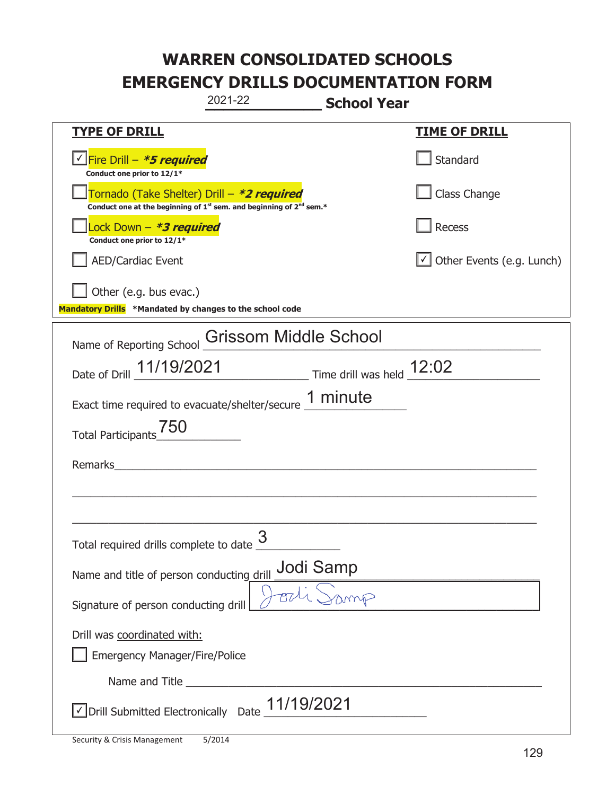|                                                                                    | 2021-22                                                                                     | <b>School Year</b>                                                          |                                  |
|------------------------------------------------------------------------------------|---------------------------------------------------------------------------------------------|-----------------------------------------------------------------------------|----------------------------------|
| <u>TYPE OF DRILL</u>                                                               |                                                                                             |                                                                             | <u>TIME OF DRILL</u>             |
| Fire Drill - *5 required<br>Conduct one prior to 12/1*                             |                                                                                             |                                                                             | Standard                         |
| Tornado (Take Shelter) Drill – *2 required                                         | Conduct one at the beginning of 1 <sup>st</sup> sem. and beginning of 2 <sup>nd</sup> sem.* |                                                                             | Class Change                     |
| Lock Down - *3 required<br>Conduct one prior to 12/1*                              |                                                                                             |                                                                             | Recess                           |
| <b>AED/Cardiac Event</b>                                                           |                                                                                             |                                                                             | $\cup$ Other Events (e.g. Lunch) |
| Other (e.g. bus evac.)<br>Mandatory Drills *Mandated by changes to the school code |                                                                                             |                                                                             |                                  |
|                                                                                    |                                                                                             |                                                                             |                                  |
| Name of Reporting School                                                           | Grissom Middle School                                                                       |                                                                             |                                  |
| Date of Drill 11/19/2021                                                           |                                                                                             | $\frac{12:02}{\frac{1}{2}}$ Time drill was held $\frac{12:02}{\frac{1}{2}}$ |                                  |
| Exact time required to evacuate/shelter/secure 1 minute                            |                                                                                             |                                                                             |                                  |
| 750<br><b>Total Participants</b>                                                   |                                                                                             |                                                                             |                                  |
| Remarks                                                                            |                                                                                             |                                                                             |                                  |
|                                                                                    |                                                                                             |                                                                             |                                  |
| Total required drills complete to date $\frac{6}{5}$                               | 3                                                                                           |                                                                             |                                  |
| Name and title of person conducting drill                                          | Jodi Samp                                                                                   |                                                                             |                                  |
| Signature of person conducting drill                                               |                                                                                             |                                                                             |                                  |
| Drill was coordinated with:                                                        |                                                                                             |                                                                             |                                  |
| <b>Emergency Manager/Fire/Police</b>                                               |                                                                                             |                                                                             |                                  |
|                                                                                    |                                                                                             |                                                                             |                                  |
| $\vee$ Drill Submitted Electronically Date $\underline{11/19/2021}$                |                                                                                             |                                                                             |                                  |

I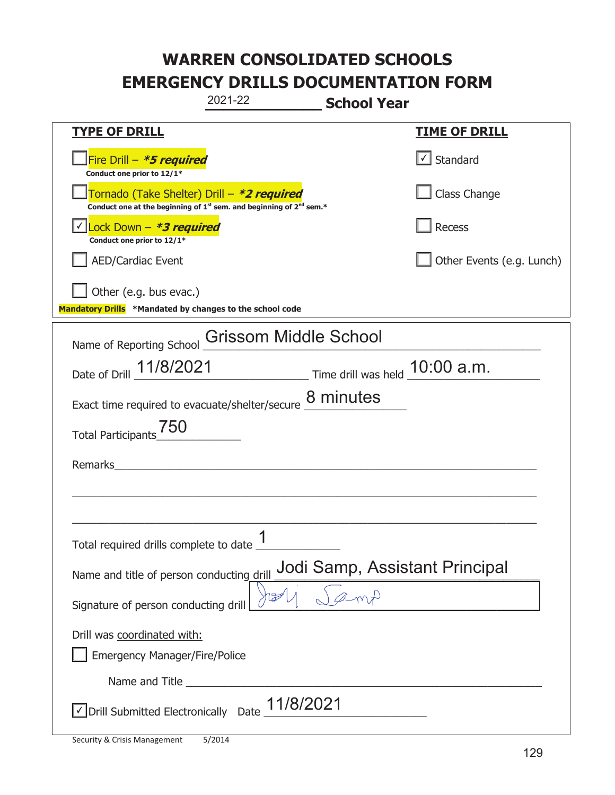|                                                                                    | 2021-22                                                                                     | <b>School Year</b> |                                |
|------------------------------------------------------------------------------------|---------------------------------------------------------------------------------------------|--------------------|--------------------------------|
| <u>TYPE OF DRILL</u>                                                               |                                                                                             |                    | <u>TIME OF DRILL</u>           |
| Fire Drill - *5 required<br>Conduct one prior to 12/1*                             |                                                                                             |                    | Standard                       |
| Tornado (Take Shelter) Drill – *2 required                                         | Conduct one at the beginning of 1 <sup>st</sup> sem. and beginning of 2 <sup>nd</sup> sem.* |                    | Class Change                   |
| Lock Down - *3 required<br>Conduct one prior to 12/1*                              |                                                                                             |                    | <b>Recess</b>                  |
| AED/Cardiac Event                                                                  |                                                                                             |                    | Other Events (e.g. Lunch)      |
| Other (e.g. bus evac.)<br>Mandatory Drills *Mandated by changes to the school code |                                                                                             |                    |                                |
| Name of Reporting School                                                           | Grissom Middle School                                                                       |                    |                                |
| Date of Drill $11/8/2021$ Time drill was held $10:00$ a.m.                         |                                                                                             |                    |                                |
| Exact time required to evacuate/shelter/secure 8 minutes                           |                                                                                             |                    |                                |
| Total Participants <sup>750</sup>                                                  |                                                                                             |                    |                                |
| Remarks                                                                            |                                                                                             |                    |                                |
|                                                                                    |                                                                                             |                    |                                |
| Total required drills complete to date                                             | 1                                                                                           |                    |                                |
| Name and title of person conducting drill                                          |                                                                                             |                    | Jodi Samp, Assistant Principal |
| Signature of person conducting drill                                               | $\overline{\mathbb{B}^2}$                                                                   |                    |                                |
| Drill was coordinated with:<br><b>Emergency Manager/Fire/Police</b>                |                                                                                             |                    |                                |
|                                                                                    |                                                                                             |                    |                                |
| √ Drill Submitted Electronically Date                                              | 11/8/2021                                                                                   |                    |                                |

t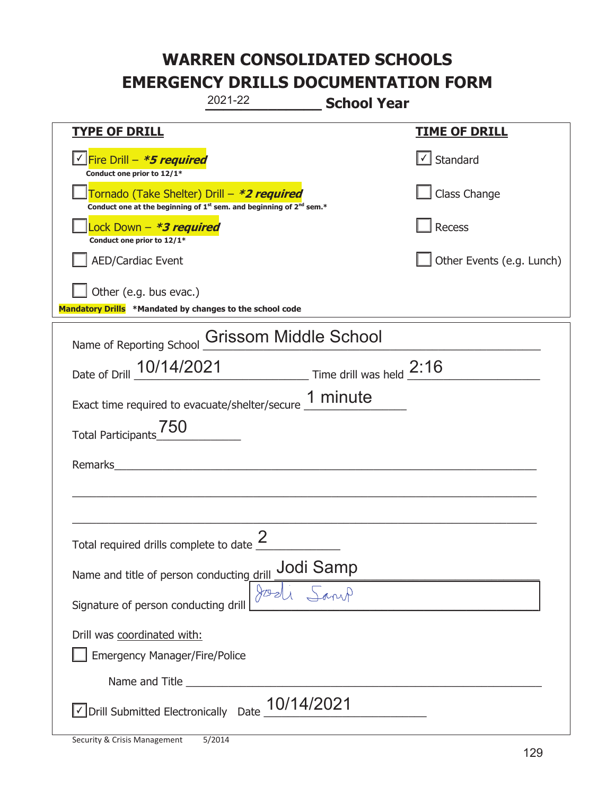|                                                                                    | 2021-22                                                                                     | <b>School Year</b> |                           |
|------------------------------------------------------------------------------------|---------------------------------------------------------------------------------------------|--------------------|---------------------------|
| <u>TYPE OF DRILL</u>                                                               |                                                                                             |                    | <u>TIME OF DRILL</u>      |
| <u>√ Fire Drill – *5 required</u><br>Conduct one prior to 12/1*                    |                                                                                             |                    | $\lfloor$ Standard        |
| Tornado (Take Shelter) Drill – *2 required                                         | Conduct one at the beginning of 1 <sup>st</sup> sem. and beginning of 2 <sup>nd</sup> sem.* |                    | Class Change              |
| Lock Down - <b>*3 required</b><br>Conduct one prior to 12/1*                       |                                                                                             |                    | Recess                    |
| <b>AED/Cardiac Event</b>                                                           |                                                                                             |                    | Other Events (e.g. Lunch) |
| Other (e.g. bus evac.)<br>Mandatory Drills *Mandated by changes to the school code |                                                                                             |                    |                           |
| Name of Reporting School                                                           | Grissom Middle School                                                                       |                    |                           |
| Date of Drill 10/14/2021 Time drill was held 2:16                                  |                                                                                             |                    |                           |
| Exact time required to evacuate/shelter/secure 1 minute                            |                                                                                             |                    |                           |
| Total Participants <sup>750</sup>                                                  |                                                                                             |                    |                           |
| Remarks                                                                            |                                                                                             |                    |                           |
|                                                                                    |                                                                                             |                    |                           |
| Total required drills complete to date $\frac{2}{3}$                               |                                                                                             |                    |                           |
| Name and title of person conducting drill Jodi Samp                                |                                                                                             |                    |                           |
| Signature of person conducting drill                                               |                                                                                             |                    |                           |
| Drill was coordinated with:<br><b>Emergency Manager/Fire/Police</b>                |                                                                                             |                    |                           |
|                                                                                    |                                                                                             |                    |                           |
| √ Drill Submitted Electronically Date                                              | 10/14/2021                                                                                  |                    |                           |